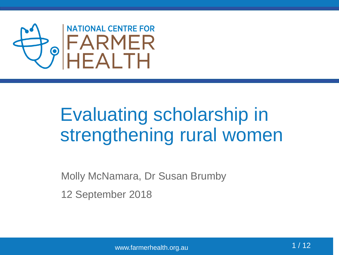

### Evaluating scholarship in strengthening rural women

Molly McNamara, Dr Susan Brumby

12 September 2018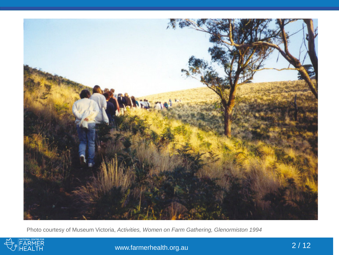

Photo courtesy of Museum Victoria, *Activities, Women on Farm Gathering, Glenormiston 1994*



www.farmerhealth.org.au 2/12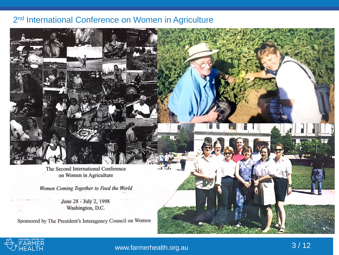#### 2<sup>nd</sup> International Conference on Women in Agriculture

The Second International Conference on Women in Agriculture

Women Coming Together to Feed the World

June 28 - July 2, 1998 Washington, D.C.

Sponsored by The President's Interagency Council on Women



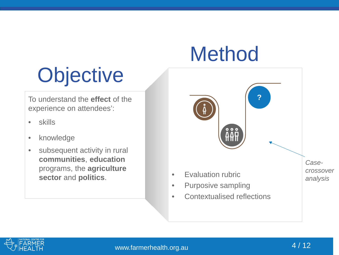## Method

# **Objective**

To understand the **effect** of the experience on attendees':

- skills
- knowledge
- subsequent activity in rural **communities**, **education** programs, the **agriculture sector** and **politics**.



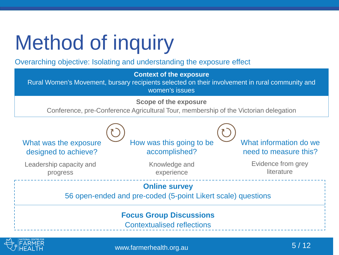# Method of inquiry

#### Overarching objective: Isolating and understanding the exposure effect

**Context of the exposure** 

Rural Women's Movement, bursary recipients selected on their involvement in rural community and women's issues

**Scope of the exposure**

Conference, pre-Conference Agricultural Tour, membership of the Victorian delegation





www.farmerhealth.org.au 6/12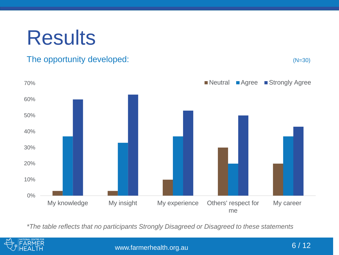## **Results**

#### The opportunity developed: (N=30)





*\*The table reflects that no participants Strongly Disagreed or Disagreed to these statements*



www.farmerhealth.org.au 6/12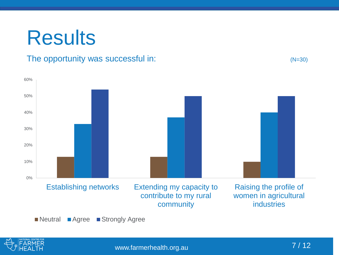### **Results**

#### The opportunity was successful in:  $(N=30)$



Neutral Agree Strongly Agree



www.farmerhealth.org.au 7/12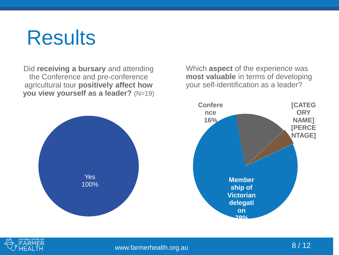### **Results**

Did **receiving a bursary** and attending the Conference and pre-conference agricultural tour **positively affect how you view yourself as a leader?** (N=19)



Which **aspect** of the experience was **most valuable** in terms of developing your self-identification as a leader?



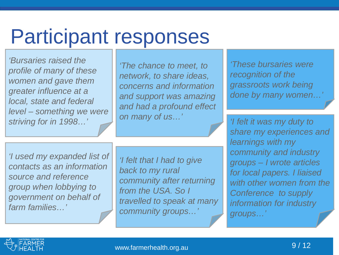## Participant responses

 *local, state and federal 'Bursaries raised the profile of many of these women and gave them greater influence at a level – something we were striving for in 1998…'* 

*'The chance to meet, to network, to share ideas, concerns and information and support was amazing and had a profound effect on many of us…'* 

*'These bursaries were recognition of the grassroots work being*  done by many women...

*'I felt it was my duty to share my experiences and learnings with my community and industry groups – I wrote articles for local papers. I liaised with other women from the Conference to supply information for industry groups…'* 

*'I used my expanded list of contacts as an information source and reference group when lobbying to government on behalf of farm families…'* 

*'I felt that I had to give back to my rural community after returning from the USA. So I travelled to speak at many community groups…'* 

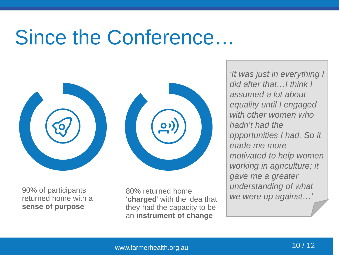### Since the Conference…



90% of participants returned home with a **sense of purpose**

80% returned home '**charged**' with the idea that they had the capacity to be an **instrument of change**

*'It was just in everything I did after that…I think I assumed a lot about equality until I engaged with other women who hadn't had the opportunities I had. So it made me more motivated to help women working in agriculture; it gave me a greater understanding of what we were up against…'*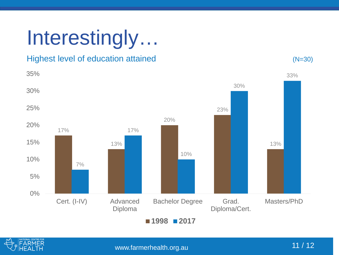# Interestingly…

#### Highest level of education attained (N=30)





www.farmerhealth.org.au 11 / 12